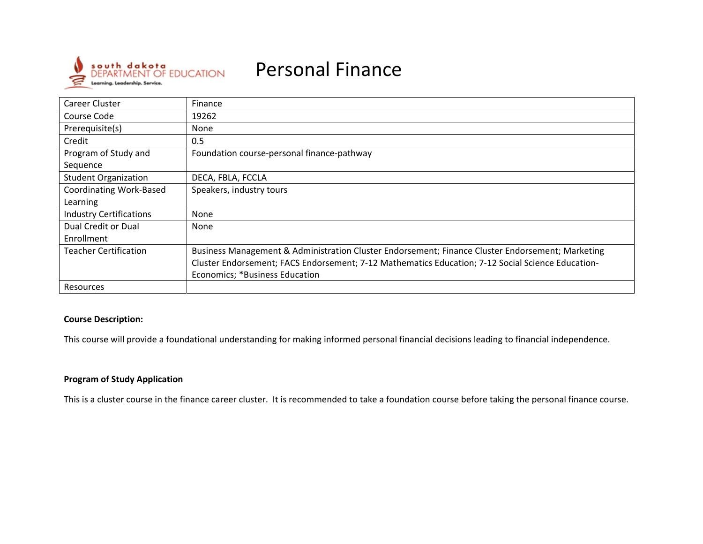

# Personal Finance

| Career Cluster                 | Finance                                                                                           |
|--------------------------------|---------------------------------------------------------------------------------------------------|
| Course Code                    | 19262                                                                                             |
| Prerequisite(s)                | <b>None</b>                                                                                       |
| Credit                         | 0.5                                                                                               |
| Program of Study and           | Foundation course-personal finance-pathway                                                        |
| Sequence                       |                                                                                                   |
| <b>Student Organization</b>    | DECA, FBLA, FCCLA                                                                                 |
| <b>Coordinating Work-Based</b> | Speakers, industry tours                                                                          |
| Learning                       |                                                                                                   |
| <b>Industry Certifications</b> | None                                                                                              |
| Dual Credit or Dual            | None                                                                                              |
| Enrollment                     |                                                                                                   |
| <b>Teacher Certification</b>   | Business Management & Administration Cluster Endorsement; Finance Cluster Endorsement; Marketing  |
|                                | Cluster Endorsement; FACS Endorsement; 7-12 Mathematics Education; 7-12 Social Science Education- |
|                                | Economics; *Business Education                                                                    |
| <b>Resources</b>               |                                                                                                   |

### **Course Description:**

This course will provide <sup>a</sup> foundational understanding for making informed personal financial decisions leading to financial independence.

# **Program of Study Application**

This is a cluster course in the finance career cluster. It is recommended to take <sup>a</sup> foundation course before taking the personal finance course.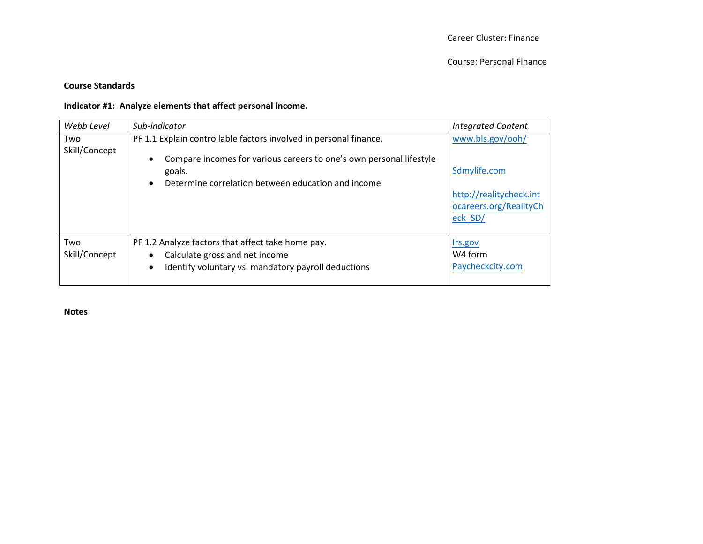### **Course Standards**

#### **Indicator #1: Analyze elements that affect personal income.**

| Webb Level           | Sub-indicator                                                                                                                                                                                            | <b>Integrated Content</b>                                                                        |
|----------------------|----------------------------------------------------------------------------------------------------------------------------------------------------------------------------------------------------------|--------------------------------------------------------------------------------------------------|
| Two<br>Skill/Concept | PF 1.1 Explain controllable factors involved in personal finance.<br>Compare incomes for various careers to one's own personal lifestyle<br>goals.<br>Determine correlation between education and income | www.bls.gov/ooh/<br>Sdmylife.com<br>http://realitycheck.int<br>ocareers.org/RealityCh<br>eck SD/ |
| Two<br>Skill/Concept | PF 1.2 Analyze factors that affect take home pay.<br>Calculate gross and net income<br>Identify voluntary vs. mandatory payroll deductions                                                               | Irs.gov<br>W <sub>4</sub> form<br>Paycheckcity.com                                               |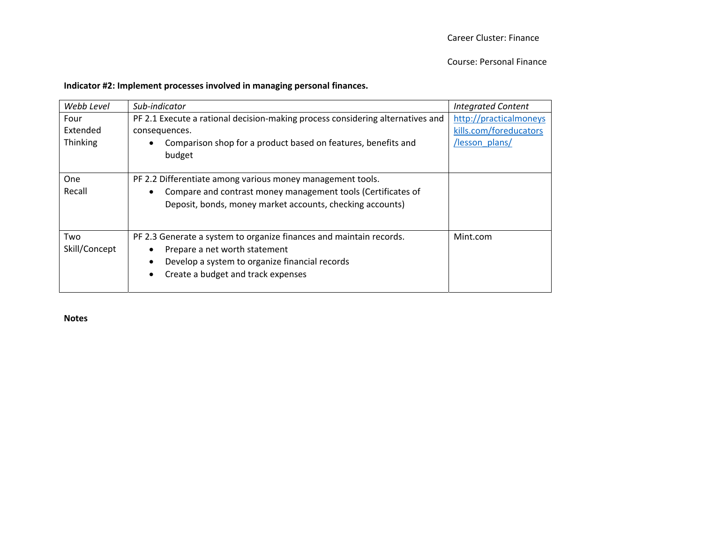Course: Personal Finance

#### **Indicator #2: Implement processes involved in managing personal finances.**

| Webb Level                   | Sub-indicator                                                                                                                                                                                             | <b>Integrated Content</b>                                          |
|------------------------------|-----------------------------------------------------------------------------------------------------------------------------------------------------------------------------------------------------------|--------------------------------------------------------------------|
| Four<br>Extended<br>Thinking | PF 2.1 Execute a rational decision-making process considering alternatives and<br>consequences.<br>Comparison shop for a product based on features, benefits and<br>budget                                | http://practicalmoneys<br>kills.com/foreducators<br>/lesson plans/ |
| One<br>Recall                | PF 2.2 Differentiate among various money management tools.<br>Compare and contrast money management tools (Certificates of<br>Deposit, bonds, money market accounts, checking accounts)                   |                                                                    |
| Two<br>Skill/Concept         | PF 2.3 Generate a system to organize finances and maintain records.<br>Prepare a net worth statement<br>Develop a system to organize financial records<br>$\bullet$<br>Create a budget and track expenses | Mint.com                                                           |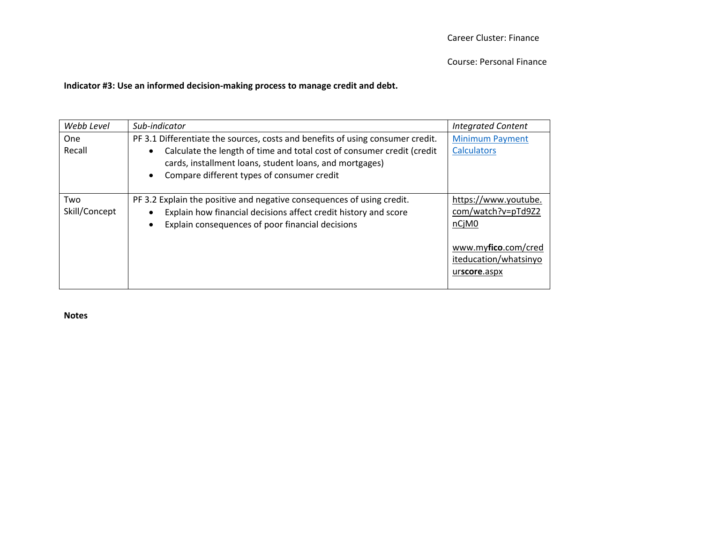#### **Indicator #3: Use an informed decision‐making process to manage credit and debt.**

| Webb Level           | Sub-indicator                                                                                                                                                                                 | <b>Integrated Content</b>                                    |
|----------------------|-----------------------------------------------------------------------------------------------------------------------------------------------------------------------------------------------|--------------------------------------------------------------|
| One<br>Recall        | PF 3.1 Differentiate the sources, costs and benefits of using consumer credit.<br>Calculate the length of time and total cost of consumer credit (credit                                      | <b>Minimum Payment</b><br><b>Calculators</b>                 |
|                      | cards, installment loans, student loans, and mortgages)<br>Compare different types of consumer credit                                                                                         |                                                              |
| Two<br>Skill/Concept | PF 3.2 Explain the positive and negative consequences of using credit.<br>Explain how financial decisions affect credit history and score<br>Explain consequences of poor financial decisions | https://www.youtube.<br>com/watch?v=pTd9Z2<br>nCjM0          |
|                      |                                                                                                                                                                                               | www.myfico.com/cred<br>iteducation/whatsinyo<br>urscore.aspx |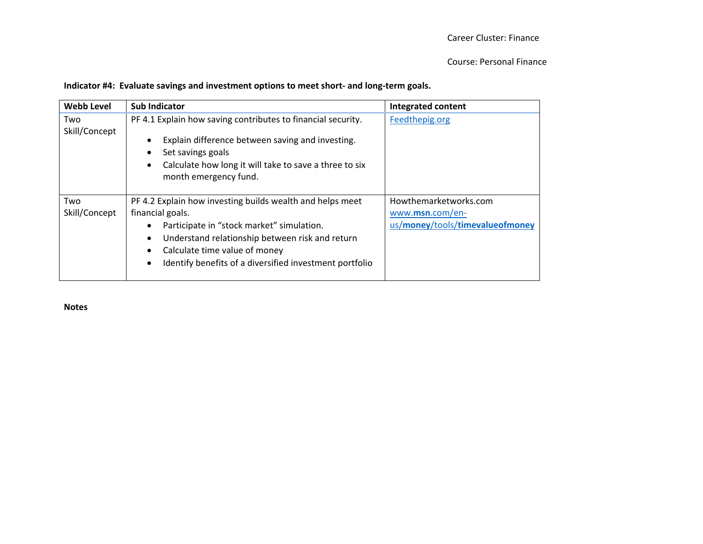## **Indicator #4: Evaluate savings and investment options to meet short‐ and long‐term goals.**

| <b>Webb Level</b>    | <b>Sub Indicator</b>                                                                                                                                                                                                                                                                   | <b>Integrated content</b>                                                   |
|----------------------|----------------------------------------------------------------------------------------------------------------------------------------------------------------------------------------------------------------------------------------------------------------------------------------|-----------------------------------------------------------------------------|
| Two<br>Skill/Concept | PF 4.1 Explain how saving contributes to financial security.<br>Explain difference between saving and investing.<br>Set savings goals<br>Calculate how long it will take to save a three to six<br>month emergency fund.                                                               | Feedthepig.org                                                              |
| Two<br>Skill/Concept | PF 4.2 Explain how investing builds wealth and helps meet<br>financial goals.<br>Participate in "stock market" simulation.<br>Understand relationship between risk and return<br>Calculate time value of money<br>Identify benefits of a diversified investment portfolio<br>$\bullet$ | Howthemarketworks.com<br>www.msn.com/en-<br>us/money/tools/timevalueofmoney |